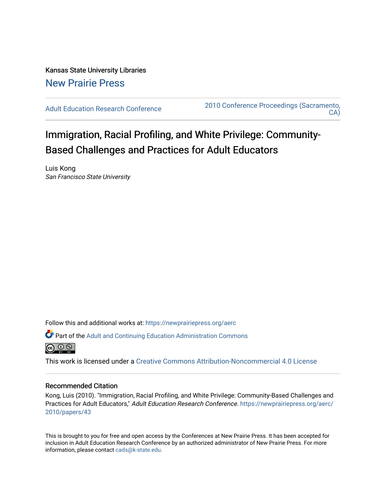Kansas State University Libraries [New Prairie Press](https://newprairiepress.org/) 

[Adult Education Research Conference](https://newprairiepress.org/aerc) [2010 Conference Proceedings \(Sacramento,](https://newprairiepress.org/aerc/2010)  [CA\)](https://newprairiepress.org/aerc/2010) 

Immigration, Racial Profiling, and White Privilege: Community-Based Challenges and Practices for Adult Educators

Luis Kong San Francisco State University

Follow this and additional works at: [https://newprairiepress.org/aerc](https://newprairiepress.org/aerc?utm_source=newprairiepress.org%2Faerc%2F2010%2Fpapers%2F43&utm_medium=PDF&utm_campaign=PDFCoverPages)

Part of the [Adult and Continuing Education Administration Commons](http://network.bepress.com/hgg/discipline/789?utm_source=newprairiepress.org%2Faerc%2F2010%2Fpapers%2F43&utm_medium=PDF&utm_campaign=PDFCoverPages)



This work is licensed under a [Creative Commons Attribution-Noncommercial 4.0 License](https://creativecommons.org/licenses/by-nc/4.0/)

## Recommended Citation

Kong, Luis (2010). "Immigration, Racial Profiling, and White Privilege: Community-Based Challenges and Practices for Adult Educators," Adult Education Research Conference. [https://newprairiepress.org/aerc/](https://newprairiepress.org/aerc/2010/papers/43) [2010/papers/43](https://newprairiepress.org/aerc/2010/papers/43)

This is brought to you for free and open access by the Conferences at New Prairie Press. It has been accepted for inclusion in Adult Education Research Conference by an authorized administrator of New Prairie Press. For more information, please contact [cads@k-state.edu](mailto:cads@k-state.edu).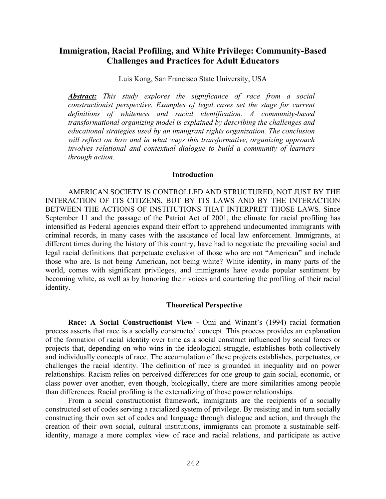# **Immigration, Racial Profiling, and White Privilege: Community-Based Challenges and Practices for Adult Educators**

Luis Kong, San Francisco State University, USA

*Abstract: This study explores the significance of race from a social constructionist perspective. Examples of legal cases set the stage for current definitions of whiteness and racial identification. A community-based transformational organizing model is explained by describing the challenges and educational strategies used by an immigrant rights organization. The conclusion will reflect on how and in what ways this transformative, organizing approach involves relational and contextual dialogue to build a community of learners through action.*

#### **Introduction**

AMERICAN SOCIETY IS CONTROLLED AND STRUCTURED, NOT JUST BY THE INTERACTION OF ITS CITIZENS, BUT BY ITS LAWS AND BY THE INTERACTION BETWEEN THE ACTIONS OF INSTITUTIONS THAT INTERPRET THOSE LAWS. Since September 11 and the passage of the Patriot Act of 2001, the climate for racial profiling has intensified as Federal agencies expand their effort to apprehend undocumented immigrants with criminal records, in many cases with the assistance of local law enforcement. Immigrants, at different times during the history of this country, have had to negotiate the prevailing social and legal racial definitions that perpetuate exclusion of those who are not "American" and include those who are. Is not being American, not being white? White identity, in many parts of the world, comes with significant privileges, and immigrants have evade popular sentiment by becoming white, as well as by honoring their voices and countering the profiling of their racial identity.

#### **Theoretical Perspective**

**Race: A Social Constructionist View -** Omi and Winant's (1994) racial formation process asserts that race is a socially constructed concept. This process provides an explanation of the formation of racial identity over time as a social construct influenced by social forces or projects that, depending on who wins in the ideological struggle, establishes both collectively and individually concepts of race. The accumulation of these projects establishes, perpetuates, or challenges the racial identity. The definition of race is grounded in inequality and on power relationships. Racism relies on perceived differences for one group to gain social, economic, or class power over another, even though, biologically, there are more similarities among people than differences. Racial profiling is the externalizing of those power relationships.

From a social constructionist framework, immigrants are the recipients of a socially constructed set of codes serving a racialized system of privilege. By resisting and in turn socially constructing their own set of codes and language through dialogue and action, and through the creation of their own social, cultural institutions, immigrants can promote a sustainable selfidentity, manage a more complex view of race and racial relations, and participate as active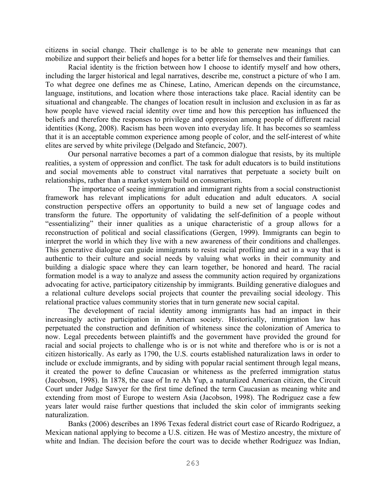citizens in social change. Their challenge is to be able to generate new meanings that can mobilize and support their beliefs and hopes for a better life for themselves and their families.

Racial identity is the friction between how I choose to identify myself and how others, including the larger historical and legal narratives, describe me, construct a picture of who I am. To what degree one defines me as Chinese, Latino, American depends on the circumstance, language, institutions, and location where those interactions take place. Racial identity can be situational and changeable. The changes of location result in inclusion and exclusion in as far as how people have viewed racial identity over time and how this perception has influenced the beliefs and therefore the responses to privilege and oppression among people of different racial identities (Kong, 2008). Racism has been woven into everyday life. It has becomes so seamless that it is an acceptable common experience among people of color, and the self-interest of white elites are served by white privilege (Delgado and Stefancic, 2007).

Our personal narrative becomes a part of a common dialogue that resists, by its multiple realities, a system of oppression and conflict. The task for adult educators is to build institutions and social movements able to construct vital narratives that perpetuate a society built on relationships, rather than a market system build on consumerism.

The importance of seeing immigration and immigrant rights from a social constructionist framework has relevant implications for adult education and adult educators. A social construction perspective offers an opportunity to build a new set of language codes and transform the future. The opportunity of validating the self-definition of a people without "essentializing" their inner qualities as a unique characteristic of a group allows for a reconstruction of political and social classifications (Gergen, 1999). Immigrants can begin to interpret the world in which they live with a new awareness of their conditions and challenges. This generative dialogue can guide immigrants to resist racial profiling and act in a way that is authentic to their culture and social needs by valuing what works in their community and building a dialogic space where they can learn together, be honored and heard. The racial formation model is a way to analyze and assess the community action required by organizations advocating for active, participatory citizenship by immigrants. Building generative dialogues and a relational culture develops social projects that counter the prevailing social ideology. This relational practice values community stories that in turn generate new social capital.

The development of racial identity among immigrants has had an impact in their increasingly active participation in American society. Historically, immigration law has perpetuated the construction and definition of whiteness since the colonization of America to now. Legal precedents between plaintiffs and the government have provided the ground for racial and social projects to challenge who is or is not white and therefore who is or is not a citizen historically. As early as 1790, the U.S. courts established naturalization laws in order to include or exclude immigrants, and by siding with popular racial sentiment through legal means, it created the power to define Caucasian or whiteness as the preferred immigration status (Jacobson, 1998). In 1878, the case of In re Ah Yup, a naturalized American citizen, the Circuit Court under Judge Sawyer for the first time defined the term Caucasian as meaning white and extending from most of Europe to western Asia (Jacobson, 1998). The Rodriguez case a few years later would raise further questions that included the skin color of immigrants seeking naturalization.

Banks (2006) describes an 1896 Texas federal district court case of Ricardo Rodriguez, a Mexican national applying to become a U.S. citizen. He was of Mestizo ancestry, the mixture of white and Indian. The decision before the court was to decide whether Rodriguez was Indian,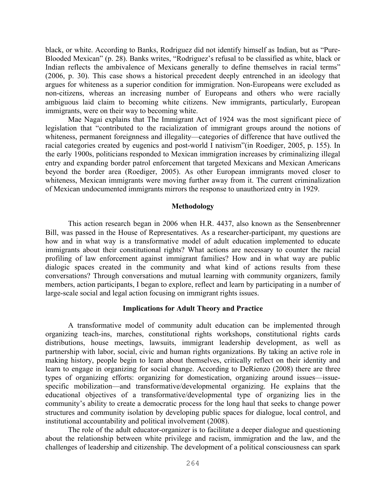black, or white. According to Banks, Rodriguez did not identify himself as Indian, but as "Pure-Blooded Mexican" (p. 28). Banks writes, "Rodriguez's refusal to be classified as white, black or Indian reflects the ambivalence of Mexicans generally to define themselves in racial terms" (2006, p. 30). This case shows a historical precedent deeply entrenched in an ideology that argues for whiteness as a superior condition for immigration. Non-Europeans were excluded as non-citizens, whereas an increasing number of Europeans and others who were racially ambiguous laid claim to becoming white citizens. New immigrants, particularly, European immigrants, were on their way to becoming white.

Mae Nagai explains that The Immigrant Act of 1924 was the most significant piece of legislation that "contributed to the racialization of immigrant groups around the notions of whiteness, permanent foreignness and illegality—categories of difference that have outlived the racial categories created by eugenics and post-world I nativism"(in Roediger, 2005, p. 155). In the early 1900s, politicians responded to Mexican immigration increases by criminalizing illegal entry and expanding border patrol enforcement that targeted Mexicans and Mexican Americans beyond the border area (Roediger, 2005). As other European immigrants moved closer to whiteness, Mexican immigrants were moving further away from it. The current criminalization of Mexican undocumented immigrants mirrors the response to unauthorized entry in 1929.

#### **Methodology**

This action research began in 2006 when H.R. 4437, also known as the Sensenbrenner Bill, was passed in the House of Representatives. As a researcher-participant, my questions are how and in what way is a transformative model of adult education implemented to educate immigrants about their constitutional rights? What actions are necessary to counter the racial profiling of law enforcement against immigrant families? How and in what way are public dialogic spaces created in the community and what kind of actions results from these conversations? Through conversations and mutual learning with community organizers, family members, action participants, I began to explore, reflect and learn by participating in a number of large-scale social and legal action focusing on immigrant rights issues.

# **Implications for Adult Theory and Practice**

A transformative model of community adult education can be implemented through organizing teach-ins, marches, constitutional rights workshops, constitutional rights cards distributions, house meetings, lawsuits, immigrant leadership development, as well as partnership with labor, social, civic and human rights organizations. By taking an active role in making history, people begin to learn about themselves, critically reflect on their identity and learn to engage in organizing for social change. According to DeRienzo (2008) there are three types of organizing efforts: organizing for domestication, organizing around issues—issuespecific mobilization—and transformative/developmental organizing. He explains that the educational objectives of a transformative/developmental type of organizing lies in the community's ability to create a democratic process for the long haul that seeks to change power structures and community isolation by developing public spaces for dialogue, local control, and institutional accountability and political involvement (2008).

The role of the adult educator-organizer is to facilitate a deeper dialogue and questioning about the relationship between white privilege and racism, immigration and the law, and the challenges of leadership and citizenship. The development of a political consciousness can spark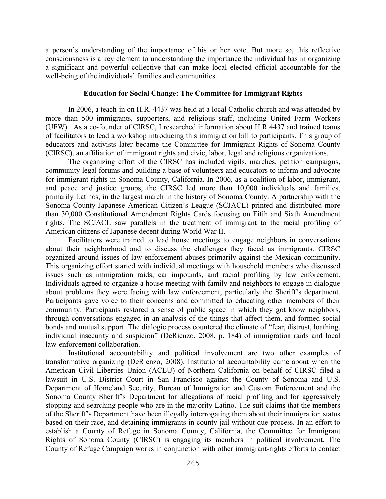a person's understanding of the importance of his or her vote. But more so, this reflective consciousness is a key element to understanding the importance the individual has in organizing a significant and powerful collective that can make local elected official accountable for the well-being of the individuals' families and communities.

### **Education for Social Change: The Committee for Immigrant Rights**

In 2006, a teach-in on H.R. 4437 was held at a local Catholic church and was attended by more than 500 immigrants, supporters, and religious staff, including United Farm Workers (UFW). As a co-founder of CIRSC, I researched information about H.R 4437 and trained teams of facilitators to lead a workshop introducing this immigration bill to participants. This group of educators and activists later became the Committee for Immigrant Rights of Sonoma County (CIRSC), an affiliation of immigrant rights and civic, labor, legal and religious organizations.

The organizing effort of the CIRSC has included vigils, marches, petition campaigns, community legal forums and building a base of volunteers and educators to inform and advocate for immigrant rights in Sonoma County, California. In 2006, as a coalition of labor, immigrant, and peace and justice groups, the CIRSC led more than 10,000 individuals and families, primarily Latinos, in the largest march in the history of Sonoma County. A partnership with the Sonoma County Japanese American Citizen's League (SCJACL) printed and distributed more than 30,000 Constitutional Amendment Rights Cards focusing on Fifth and Sixth Amendment rights. The SCJACL saw parallels in the treatment of immigrant to the racial profiling of American citizens of Japanese decent during World War II.

Facilitators were trained to lead house meetings to engage neighbors in conversations about their neighborhood and to discuss the challenges they faced as immigrants. CIRSC organized around issues of law-enforcement abuses primarily against the Mexican community. This organizing effort started with individual meetings with household members who discussed issues such as immigration raids, car impounds, and racial profiling by law enforcement. Individuals agreed to organize a house meeting with family and neighbors to engage in dialogue about problems they were facing with law enforcement, particularly the Sheriff's department. Participants gave voice to their concerns and committed to educating other members of their community. Participants restored a sense of public space in which they got know neighbors, through conversations engaged in an analysis of the things that affect them, and formed social bonds and mutual support. The dialogic process countered the climate of "fear, distrust, loathing, individual insecurity and suspicion" (DeRienzo, 2008, p. 184) of immigration raids and local law-enforcement collaboration.

Institutional accountability and political involvement are two other examples of transformative organizing (DeRienzo, 2008). Institutional accountability came about when the American Civil Liberties Union (ACLU) of Northern California on behalf of CIRSC filed a lawsuit in U.S. District Court in San Francisco against the County of Sonoma and U.S. Department of Homeland Security, Bureau of Immigration and Custom Enforcement and the Sonoma County Sheriff's Department for allegations of racial profiling and for aggressively stopping and searching people who are in the majority Latino. The suit claims that the members of the Sheriff's Department have been illegally interrogating them about their immigration status based on their race, and detaining immigrants in county jail without due process. In an effort to establish a County of Refuge in Sonoma County, California, the Committee for Immigrant Rights of Sonoma County (CIRSC) is engaging its members in political involvement. The County of Refuge Campaign works in conjunction with other immigrant-rights efforts to contact